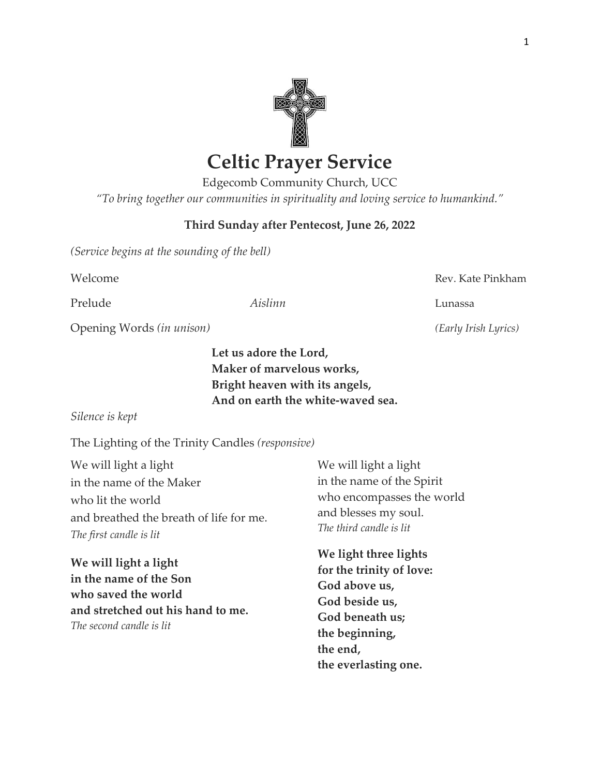

# **Celtic Prayer Service**

Edgecomb Community Church, UCC *"To bring together our communities in spirituality and loving service to humankind."*

## **Third Sunday after Pentecost, June 26, 2022**

*(Service begins at the sounding of the bell)*

Prelude *Aislinn* Lunassa

Welcome **Rev. Kate Pinkham** 

Opening Words *(in unison) (Early Irish Lyrics)*

**Let us adore the Lord, Maker of marvelous works, Bright heaven with its angels, And on earth the white-waved sea.**

#### *Silence is kept*

The Lighting of the Trinity Candles *(responsive)*

We will light a light in the name of the Maker who lit the world and breathed the breath of life for me. *The first candle is lit*

**We will light a light in the name of the Son who saved the world and stretched out his hand to me.** *The second candle is lit*

We will light a light in the name of the Spirit who encompasses the world and blesses my soul. *The third candle is lit*

**We light three lights for the trinity of love: God above us, God beside us, God beneath us; the beginning, the end, the everlasting one.**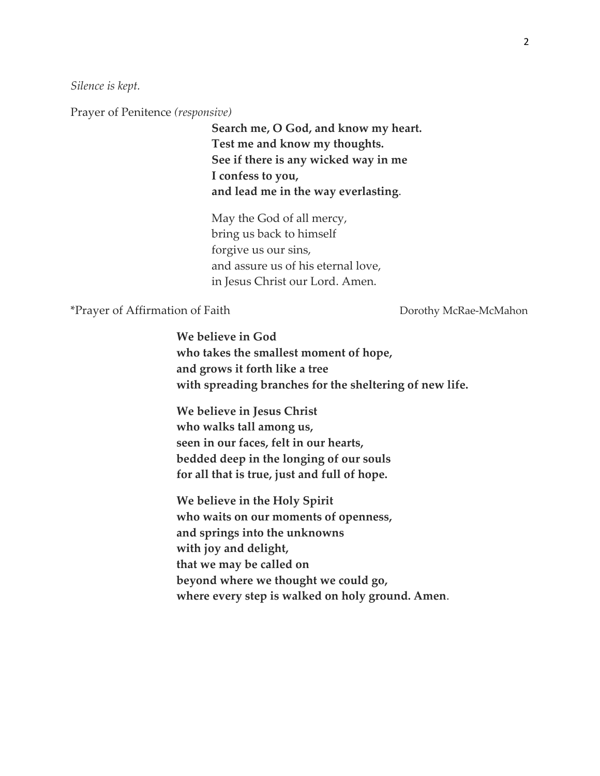*Silence is kept.*

Prayer of Penitence *(responsive)*

**Search me, O God, and know my heart. Test me and know my thoughts. See if there is any wicked way in me I confess to you, and lead me in the way everlasting**.

May the God of all mercy, bring us back to himself forgive us our sins, and assure us of his eternal love, in Jesus Christ our Lord. Amen.

\*Prayer of Affirmation of Faith Dorothy McRae-McMahon

**We believe in God who takes the smallest moment of hope, and grows it forth like a tree with spreading branches for the sheltering of new life.** 

**We believe in Jesus Christ who walks tall among us, seen in our faces, felt in our hearts, bedded deep in the longing of our souls for all that is true, just and full of hope.** 

**We believe in the Holy Spirit who waits on our moments of openness, and springs into the unknowns with joy and delight, that we may be called on beyond where we thought we could go, where every step is walked on holy ground. Amen**.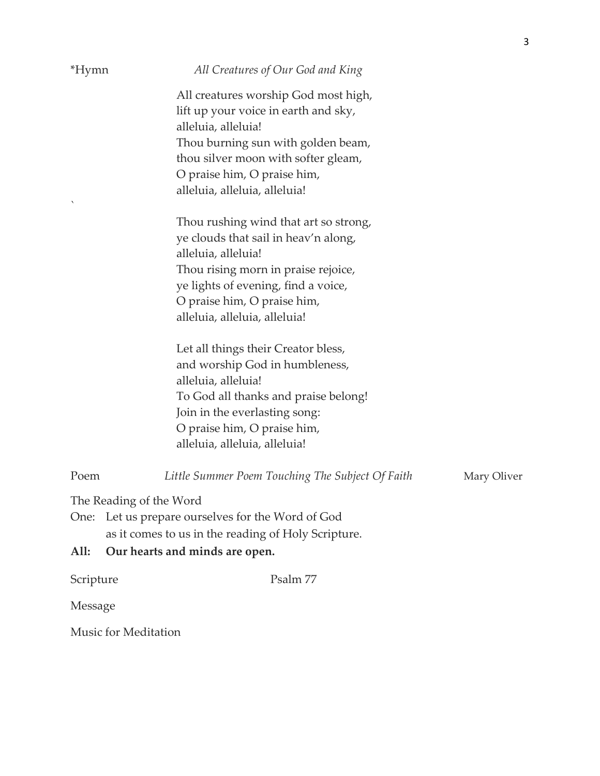| *Hymn                   | All Creatures of Our God and King                                                                   |  |
|-------------------------|-----------------------------------------------------------------------------------------------------|--|
|                         | All creatures worship God most high,<br>lift up your voice in earth and sky,<br>alleluia, alleluia! |  |
|                         | Thou burning sun with golden beam,                                                                  |  |
|                         | thou silver moon with softer gleam,                                                                 |  |
|                         | O praise him, O praise him,                                                                         |  |
|                         | alleluia, alleluia, alleluia!                                                                       |  |
|                         | Thou rushing wind that art so strong,                                                               |  |
|                         | ye clouds that sail in heav'n along,                                                                |  |
|                         | alleluia, alleluia!                                                                                 |  |
|                         | Thou rising morn in praise rejoice,                                                                 |  |
|                         | ye lights of evening, find a voice,                                                                 |  |
|                         | O praise him, O praise him,<br>alleluia, alleluia, alleluia!                                        |  |
|                         |                                                                                                     |  |
|                         | Let all things their Creator bless,                                                                 |  |
|                         | and worship God in humbleness,                                                                      |  |
|                         | alleluia, alleluia!                                                                                 |  |
|                         | To God all thanks and praise belong!                                                                |  |
|                         | Join in the everlasting song:                                                                       |  |
|                         | O praise him, O praise him,                                                                         |  |
|                         | alleluia, alleluia, alleluia!                                                                       |  |
| Poem                    | Little Summer Poem Touching The Subject Of Faith<br>Mary Oliver                                     |  |
| The Reading of the Word |                                                                                                     |  |
|                         | One: Let us prepare ourselves for the Word of God                                                   |  |
|                         | as it comes to us in the reading of Holy Scripture.                                                 |  |
| All:                    | Our hearts and minds are open.                                                                      |  |

3

Scripture Psalm 77

Message

Music for Meditation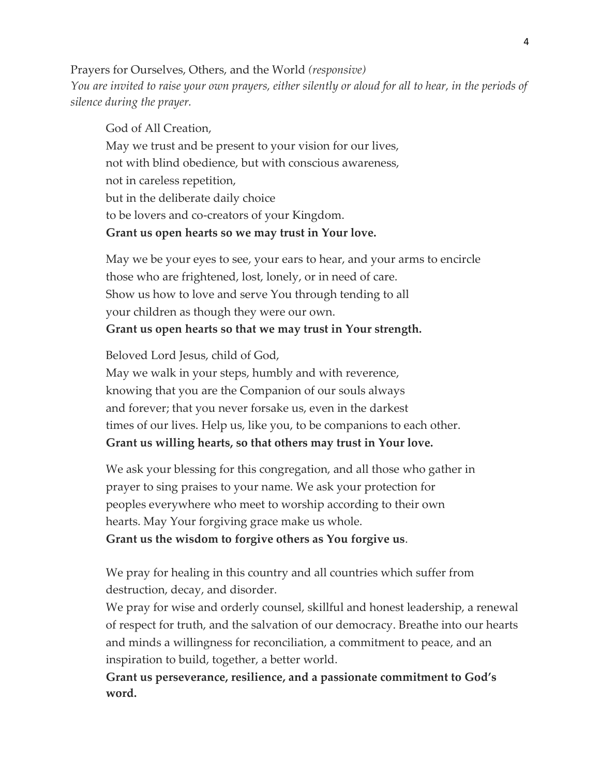Prayers for Ourselves, Others, and the World *(responsive) You are invited to raise your own prayers, either silently or aloud for all to hear, in the periods of silence during the prayer.* 

God of All Creation, May we trust and be present to your vision for our lives, not with blind obedience, but with conscious awareness, not in careless repetition, but in the deliberate daily choice to be lovers and co-creators of your Kingdom. **Grant us open hearts so we may trust in Your love.**

May we be your eyes to see, your ears to hear, and your arms to encircle those who are frightened, lost, lonely, or in need of care. Show us how to love and serve You through tending to all your children as though they were our own. **Grant us open hearts so that we may trust in Your strength.** 

Beloved Lord Jesus, child of God,

May we walk in your steps, humbly and with reverence, knowing that you are the Companion of our souls always and forever; that you never forsake us, even in the darkest times of our lives. Help us, like you, to be companions to each other. **Grant us willing hearts, so that others may trust in Your love.**

We ask your blessing for this congregation, and all those who gather in prayer to sing praises to your name. We ask your protection for peoples everywhere who meet to worship according to their own hearts. May Your forgiving grace make us whole.

**Grant us the wisdom to forgive others as You forgive us**.

We pray for healing in this country and all countries which suffer from destruction, decay, and disorder.

We pray for wise and orderly counsel, skillful and honest leadership, a renewal of respect for truth, and the salvation of our democracy. Breathe into our hearts and minds a willingness for reconciliation, a commitment to peace, and an inspiration to build, together, a better world.

**Grant us perseverance, resilience, and a passionate commitment to God's word.**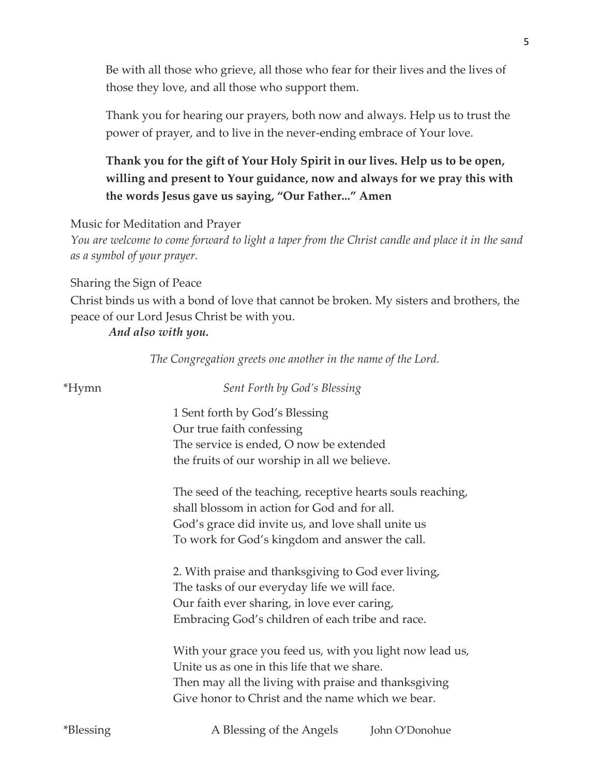Be with all those who grieve, all those who fear for their lives and the lives of those they love, and all those who support them.

Thank you for hearing our prayers, both now and always. Help us to trust the power of prayer, and to live in the never-ending embrace of Your love.

## **Thank you for the gift of Your Holy Spirit in our lives. Help us to be open, willing and present to Your guidance, now and always for we pray this with the words Jesus gave us saying, "Our Father..." Amen**

Music for Meditation and Prayer

*You are welcome to come forward to light a taper from the Christ candle and place it in the sand as a symbol of your prayer.*

Sharing the Sign of Peace

Christ binds us with a bond of love that cannot be broken. My sisters and brothers, the peace of our Lord Jesus Christ be with you.

## *And also with you.*

 *The Congregation greets one another in the name of the Lord.*

| <i>*</i> Hymn    | Sent Forth by God's Blessing                               |
|------------------|------------------------------------------------------------|
|                  | 1 Sent forth by God's Blessing                             |
|                  | Our true faith confessing                                  |
|                  | The service is ended, O now be extended                    |
|                  | the fruits of our worship in all we believe.               |
|                  | The seed of the teaching, receptive hearts souls reaching, |
|                  | shall blossom in action for God and for all.               |
|                  | God's grace did invite us, and love shall unite us         |
|                  | To work for God's kingdom and answer the call.             |
|                  | 2. With praise and thanksgiving to God ever living,        |
|                  | The tasks of our everyday life we will face.               |
|                  | Our faith ever sharing, in love ever caring,               |
|                  | Embracing God's children of each tribe and race.           |
|                  | With your grace you feed us, with you light now lead us,   |
|                  | Unite us as one in this life that we share.                |
|                  | Then may all the living with praise and thanksgiving       |
|                  | Give honor to Christ and the name which we bear.           |
| <i>*Blessing</i> | A Blessing of the Angels<br>John O'Donohue                 |